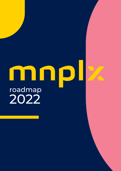# mnp roadmap 2022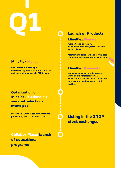# **Q1**

#### **MinePlex.Money**

**web version + mobile app electronic payment system for internal and external payments in PLEX tokens.**

#### **Optimization of MinePlex blockchain's work, introduction of meme-pool**

**More than 100 thousand transactions**

**Collabor Place: launch of educational programs**

#### **Launch of Products::**

#### **MinePlex.Finance**

**mobile CrossFi product. Bank account in EUR, USD, GBP and PLEX tokens.**

**MasterCard debit card and virtual card connected directly to the bank account.**

#### **MinePlex.Payments**

**company's own payments system working like Mastercard/Visa. PLEX transactions without conversion into fiat and involvement of third parties.**

**per second, the fastest blockchain Listing in the 2 TOP stock exchanges**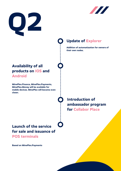



## **Update of Explorer**

**Addition of automatization for owners of their own nodes.**

#### **Availability of all products on IOS and Android**

**MinePlex.Finance, MinePlex.Payments, MinePlex.Money will be available for mobile devices. MinePlex will become even closer.**



**Introduction of ambassador program for Collabor Place**

# **Launch of the service for sale and issuance of**

**POS terminals**

**Based on MinePlex.Payments**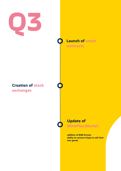

#### **Creation of stock exchanges**

**Launch of smart**

**contracts**

#### **Update of**

**MinePlex.Market**

**addition of B2B format: ability to connect shops to sell their own goods**